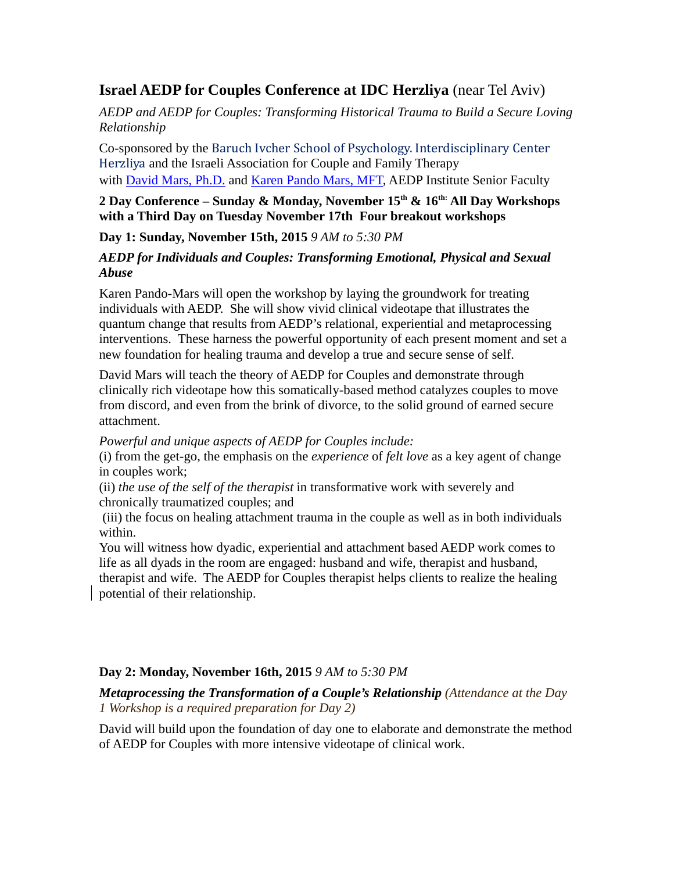# **Israel AEDP for Couples Conference at IDC Herzliya** (near Tel Aviv)

*AEDP and AEDP for Couples: Transforming Historical Trauma to Build a Secure Loving Relationship* 

Co-sponsored by the Baruch Ivcher School of Psychology. Interdisciplinary Center Herzliya and the Israeli Association for Couple and Family Therapy with **David Mars, Ph.D.** and *Karen Pando Mars, MFT*, AEDP Institute Senior Faculty

## **2 Day Conference – Sunday & Monday, November 15th & 16th: All Day Workshops with a Third Day on Tuesday November 17th Four breakout workshops**

**Day 1: Sunday, November 15th, 2015** *9 AM to 5:30 PM*

## *AEDP for Individuals and Couples: Transforming Emotional, Physical and Sexual Abuse*

Karen Pando-Mars will open the workshop by laying the groundwork for treating individuals with AEDP. She will show vivid clinical videotape that illustrates the quantum change that results from AEDP's relational, experiential and metaprocessing interventions. These harness the powerful opportunity of each present moment and set a new foundation for healing trauma and develop a true and secure sense of self.

David Mars will teach the theory of AEDP for Couples and demonstrate through clinically rich videotape how this somatically-based method catalyzes couples to move from discord, and even from the brink of divorce, to the solid ground of earned secure attachment.

*Powerful and unique aspects of AEDP for Couples include:*

(i) from the get-go, the emphasis on the *experience* of *felt love* as a key agent of change in couples work;

(ii) *the use of the self of the therapist* in transformative work with severely and chronically traumatized couples; and

 (iii) the focus on healing attachment trauma in the couple as well as in both individuals within.

You will witness how dyadic, experiential and attachment based AEDP work comes to life as all dyads in the room are engaged: husband and wife, therapist and husband, therapist and wife. The AEDP for Couples therapist helps clients to realize the healing potential of their relationship.

# **Day 2: Monday, November 16th, 2015** *9 AM to 5:30 PM*

*Metaprocessing the Transformation of a Couple's Relationship (Attendance at the Day 1 Workshop is a required preparation for Day 2)*

David will build upon the foundation of day one to elaborate and demonstrate the method of AEDP for Couples with more intensive videotape of clinical work.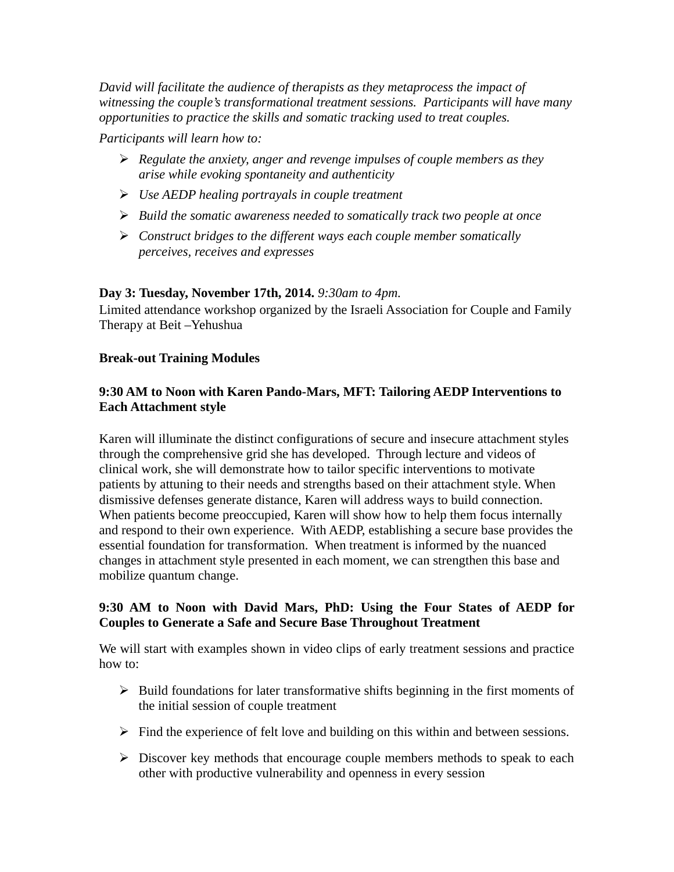*David will facilitate the audience of therapists as they metaprocess the impact of witnessing the couple's transformational treatment sessions. Participants will have many opportunities to practice the skills and somatic tracking used to treat couples.* 

*Participants will learn how to:*

- *Regulate the anxiety, anger and revenge impulses of couple members as they arise while evoking spontaneity and authenticity*
- *Use AEDP healing portrayals in couple treatment*
- *Build the somatic awareness needed to somatically track two people at once*
- *Construct bridges to the different ways each couple member somatically perceives, receives and expresses*

#### **Day 3: Tuesday, November 17th, 2014.** *9:30am to 4pm.*

Limited attendance workshop organized by the Israeli Association for Couple and Family Therapy at Beit –Yehushua

#### **Break-out Training Modules**

#### **9:30 AM to Noon with Karen Pando-Mars, MFT: Tailoring AEDP Interventions to Each Attachment style**

Karen will illuminate the distinct configurations of secure and insecure attachment styles through the comprehensive grid she has developed. Through lecture and videos of clinical work, she will demonstrate how to tailor specific interventions to motivate patients by attuning to their needs and strengths based on their attachment style. When dismissive defenses generate distance, Karen will address ways to build connection. When patients become preoccupied, Karen will show how to help them focus internally and respond to their own experience. With AEDP, establishing a secure base provides the essential foundation for transformation. When treatment is informed by the nuanced changes in attachment style presented in each moment, we can strengthen this base and mobilize quantum change.

#### **9:30 AM to Noon with David Mars, PhD: Using the Four States of AEDP for Couples to Generate a Safe and Secure Base Throughout Treatment**

We will start with examples shown in video clips of early treatment sessions and practice how to:

- $\triangleright$  Build foundations for later transformative shifts beginning in the first moments of the initial session of couple treatment
- $\triangleright$  Find the experience of felt love and building on this within and between sessions.
- $\triangleright$  Discover key methods that encourage couple members methods to speak to each other with productive vulnerability and openness in every session